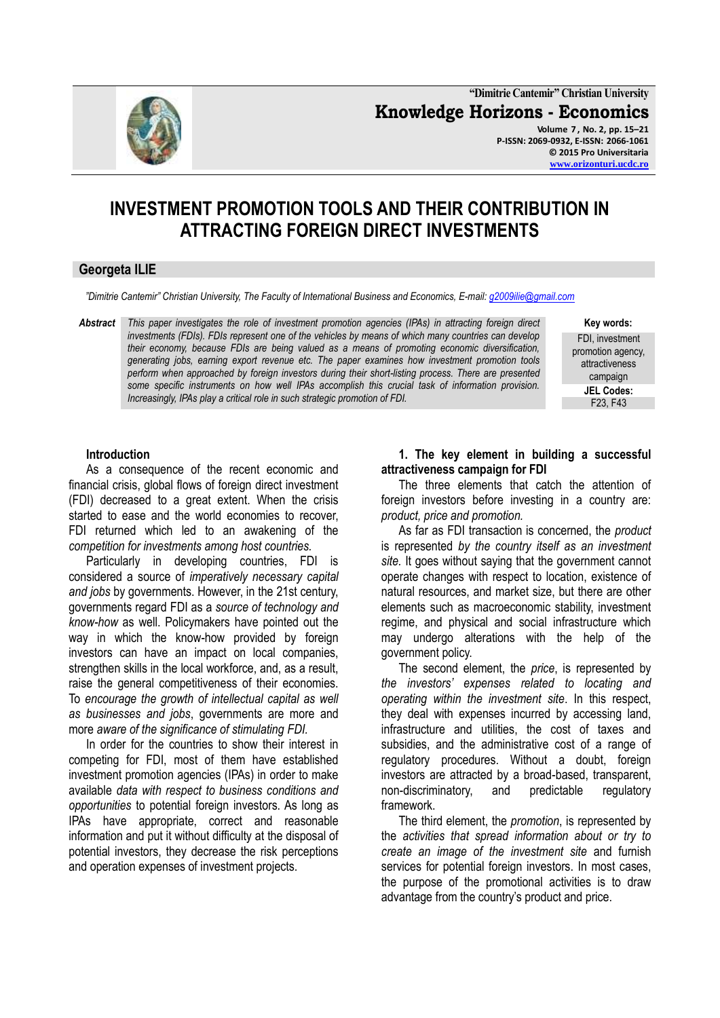

# **INVESTMENT PROMOTION TOOLS AND THEIR CONTRIBUTION IN ATTRACTING FOREIGN DIRECT INVESTMENTS**

## **Georgeta ILIE**

*"Dimitrie Cantemir" Christian University, The Faculty of International Business and Economics, E-mail[: g2009ilie@gmail.com](mailto:g2009ilie@gmail.com)*

*Abstract This paper investigates the role of investment promotion agencies (IPAs) in attracting foreign direct investments (FDIs). FDIs represent one of the vehicles by means of which many countries can develop their economy, because FDIs are being valued as a means of promoting economic diversification, generating jobs, earning export revenue etc. The paper examines how investment promotion tools perform when approached by foreign investors during their short-listing process. There are presented some specific instruments on how well IPAs accomplish this crucial task of information provision. Increasingly, IPAs play a critical role in such strategic promotion of FDI.*

**Key words:**

FDI, investment promotion agency, attractiveness campaign **JEL Codes:** F23, F43

#### **Introduction**

As a consequence of the recent economic and financial crisis, global flows of foreign direct investment (FDI) decreased to a great extent. When the crisis started to ease and the world economies to recover, FDI returned which led to an awakening of the *competition for investments among host countries.*

Particularly in developing countries, FDI is considered a source of *imperatively necessary capital and jobs* by governments. However, in the 21st century, governments regard FDI as a *source of technology and know-how* as well. Policymakers have pointed out the way in which the know-how provided by foreign investors can have an impact on local companies, strengthen skills in the local workforce, and, as a result, raise the general competitiveness of their economies. To *encourage the growth of intellectual capital as well as businesses and jobs*, governments are more and more *aware of the significance of stimulating FDI.*

In order for the countries to show their interest in competing for FDI, most of them have established investment promotion agencies (IPAs) in order to make available *data with respect to business conditions and opportunities* to potential foreign investors. As long as IPAs have appropriate, correct and reasonable information and put it without difficulty at the disposal of potential investors, they decrease the risk perceptions and operation expenses of investment projects.

#### **1. The key element in building a successful attractiveness campaign for FDI**

The three elements that catch the attention of foreign investors before investing in a country are: *product, price and promotion.*

As far as FDI transaction is concerned, the *product* is represented *by the country itself as an investment site.* It goes without saying that the government cannot operate changes with respect to location, existence of natural resources, and market size, but there are other elements such as macroeconomic stability, investment regime, and physical and social infrastructure which may undergo alterations with the help of the government policy.

The second element, the *price*, is represented by *the investors' expenses related to locating and operating within the investment site*. In this respect, they deal with expenses incurred by accessing land, infrastructure and utilities, the cost of taxes and subsidies, and the administrative cost of a range of regulatory procedures. Without a doubt, foreign investors are attracted by a broad-based, transparent, non-discriminatory, and predictable regulatory framework.

The third element, the *promotion*, is represented by the *activities that spread information about or try to create an image of the investment site* and furnish services for potential foreign investors. In most cases, the purpose of the promotional activities is to draw advantage from the country's product and price.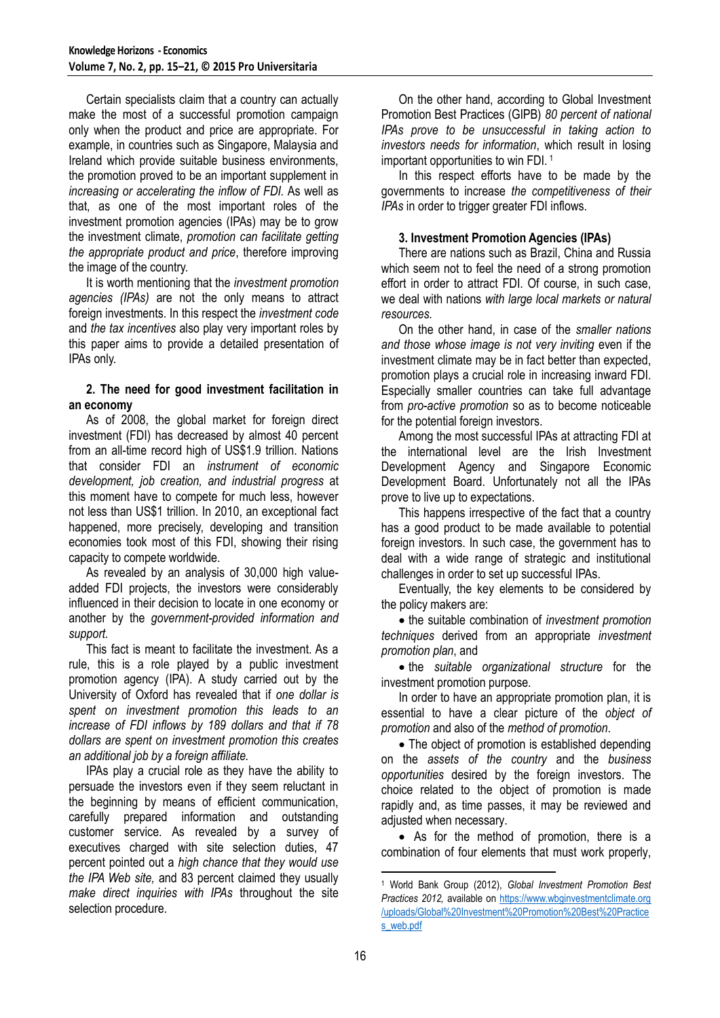Certain specialists claim that a country can actually make the most of a successful promotion campaign only when the product and price are appropriate. For example, in countries such as Singapore, Malaysia and Ireland which provide suitable business environments, the promotion proved to be an important supplement in *increasing or accelerating the inflow of FDI.* As well as that, as one of the most important roles of the investment promotion agencies (IPAs) may be to grow the investment climate, *promotion can facilitate getting the appropriate product and price*, therefore improving the image of the country.

It is worth mentioning that the *investment promotion agencies (IPAs)* are not the only means to attract foreign investments. In this respect the *investment code* and *the tax incentives* also play very important roles by this paper aims to provide a detailed presentation of IPAs only.

## **2. The need for good investment facilitation in an economy**

As of 2008, the global market for foreign direct investment (FDI) has decreased by almost 40 percent from an all-time record high of US\$1.9 trillion. Nations that consider FDI an *instrument of economic development, job creation, and industrial progress* at this moment have to compete for much less, however not less than US\$1 trillion. In 2010, an exceptional fact happened, more precisely, developing and transition economies took most of this FDI, showing their rising capacity to compete worldwide.

As revealed by an analysis of 30,000 high valueadded FDI projects, the investors were considerably influenced in their decision to locate in one economy or another by the *government-provided information and support.*

This fact is meant to facilitate the investment. As a rule, this is a role played by a public investment promotion agency (IPA). A study carried out by the University of Oxford has revealed that if *one dollar is spent on investment promotion this leads to an increase of FDI inflows by 189 dollars and that if 78 dollars are spent on investment promotion this creates an additional job by a foreign affiliate.*

IPAs play a crucial role as they have the ability to persuade the investors even if they seem reluctant in the beginning by means of efficient communication, carefully prepared information and outstanding customer service. As revealed by a survey of executives charged with site selection duties, 47 percent pointed out a *high chance that they would use the IPA Web site,* and 83 percent claimed they usually *make direct inquiries with IPAs* throughout the site selection procedure.

On the other hand, according to Global Investment Promotion Best Practices (GIPB) *80 percent of national IPAs prove to be unsuccessful in taking action to investors needs for information*, which result in losing important opportunities to win FDI. <sup>1</sup>

In this respect efforts have to be made by the governments to increase *the competitiveness of their IPAs in order to trigger greater FDI inflows.* 

## **3. Investment Promotion Agencies (IPAs)**

There are nations such as Brazil, China and Russia which seem not to feel the need of a strong promotion effort in order to attract FDI. Of course, in such case, we deal with nations *with large local markets or natural resources.*

On the other hand, in case of the *smaller nations and those whose image is not very inviting* even if the investment climate may be in fact better than expected, promotion plays a crucial role in increasing inward FDI. Especially smaller countries can take full advantage from *pro-active promotion* so as to become noticeable for the potential foreign investors.

Among the most successful IPAs at attracting FDI at the international level are the Irish Investment Development Agency and Singapore Economic Development Board. Unfortunately not all the IPAs prove to live up to expectations.

This happens irrespective of the fact that a country has a good product to be made available to potential foreign investors. In such case, the government has to deal with a wide range of strategic and institutional challenges in order to set up successful IPAs.

Eventually, the key elements to be considered by the policy makers are:

• the suitable combination of *investment promotion techniques* derived from an appropriate *investment promotion plan*, and

 the *suitable organizational structure* for the investment promotion purpose.

In order to have an appropriate promotion plan, it is essential to have a clear picture of the *object of promotion* and also of the *method of promotion*.

• The object of promotion is established depending on the *assets of the country* and the *business opportunities* desired by the foreign investors. The choice related to the object of promotion is made rapidly and, as time passes, it may be reviewed and adiusted when necessary.

 As for the method of promotion, there is a combination of four elements that must work properly,

1

<sup>1</sup> World Bank Group (2012), *Global Investment Promotion Best Practices 2012,* available on https://www.wbginvestmentclimate.org /uploads/Global%20Investment%20Promotion%20Best%20Practice s\_web.pdf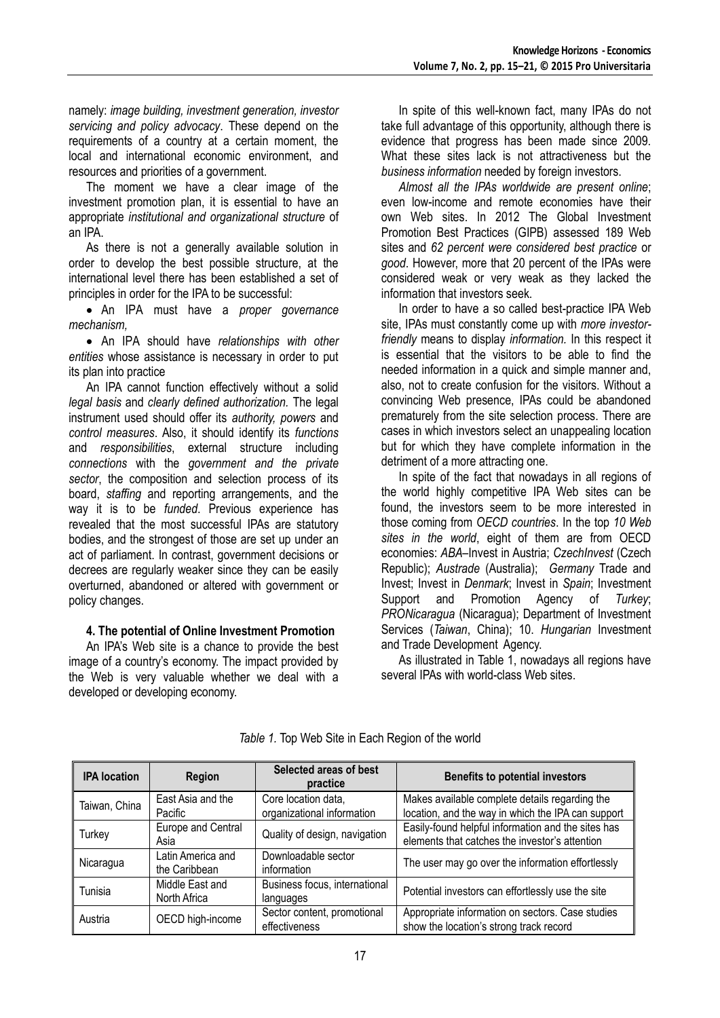namely: *image building, investment generation, investor servicing and policy advocacy*. These depend on the requirements of a country at a certain moment, the local and international economic environment, and resources and priorities of a government.

The moment we have a clear image of the investment promotion plan, it is essential to have an appropriate *institutional and organizational structure* of an IPA.

As there is not a generally available solution in order to develop the best possible structure, at the international level there has been established a set of principles in order for the IPA to be successful:

 An IPA must have a *proper governance mechanism,* 

 An IPA should have *relationships with other entities* whose assistance is necessary in order to put its plan into practice

An IPA cannot function effectively without a solid *legal basis* and *clearly defined authorization.* The legal instrument used should offer its *authority, powers* and *control measures*. Also, it should identify its *functions* and *responsibilities*, external structure including *connections* with the *government and the private sector*, the composition and selection process of its board, *staffing* and reporting arrangements, and the way it is to be *funded*. Previous experience has revealed that the most successful IPAs are statutory bodies, and the strongest of those are set up under an act of parliament. In contrast, government decisions or decrees are regularly weaker since they can be easily overturned, abandoned or altered with government or policy changes.

## **4. The potential of Online Investment Promotion**

An IPA's Web site is a chance to provide the best image of a country's economy. The impact provided by the Web is very valuable whether we deal with a developed or developing economy.

In spite of this well-known fact, many IPAs do not take full advantage of this opportunity, although there is evidence that progress has been made since 2009. What these sites lack is not attractiveness but the *business information* needed by foreign investors.

*Almost all the IPAs worldwide are present online*; even low-income and remote economies have their own Web sites. In 2012 The Global Investment Promotion Best Practices (GIPB) assessed 189 Web sites and *62 percent were considered best practice* or *good*. However, more that 20 percent of the IPAs were considered weak or very weak as they lacked the information that investors seek.

In order to have a so called best-practice IPA Web site, IPAs must constantly come up with *more investorfriendly* means to display *information.* In this respect it is essential that the visitors to be able to find the needed information in a quick and simple manner and, also, not to create confusion for the visitors. Without a convincing Web presence, IPAs could be abandoned prematurely from the site selection process. There are cases in which investors select an unappealing location but for which they have complete information in the detriment of a more attracting one.

In spite of the fact that nowadays in all regions of the world highly competitive IPA Web sites can be found, the investors seem to be more interested in those coming from *OECD countries*. In the top *10 Web sites in the world*, eight of them are from OECD economies: *ABA*–Invest in Austria; *CzechInvest* (Czech Republic); *Austrade* (Australia); *Germany* Trade and Invest; Invest in *Denmark*; Invest in *Spain*; Investment Support and Promotion Agency of *Turkey*; *PRONicaragua* (Nicaragua); Department of Investment Services (*Taiwan*, China); 10. *Hungarian* Investment and Trade Development Agency.

As illustrated in Table 1, nowadays all regions have several IPAs with world-class Web sites.

| <b>IPA</b> location | Region                             | Selected areas of best<br>practice                | <b>Benefits to potential investors</b>                                                               |  |  |
|---------------------|------------------------------------|---------------------------------------------------|------------------------------------------------------------------------------------------------------|--|--|
| Taiwan, China       | East Asia and the<br>Pacific       | Core location data,<br>organizational information | Makes available complete details regarding the<br>location, and the way in which the IPA can support |  |  |
| Turkey              | Europe and Central<br>Asia         | Quality of design, navigation                     | Easily-found helpful information and the sites has<br>elements that catches the investor's attention |  |  |
| Nicaragua           | Latin America and<br>the Caribbean | Downloadable sector<br>information                | The user may go over the information effortlessly                                                    |  |  |
| Tunisia             | Middle East and<br>North Africa    | Business focus, international<br>languages        | Potential investors can effortlessly use the site                                                    |  |  |
| Austria             | OECD high-income                   | Sector content, promotional<br>effectiveness      | Appropriate information on sectors. Case studies<br>show the location's strong track record          |  |  |

## *Table 1.* Top Web Site in Each Region of the world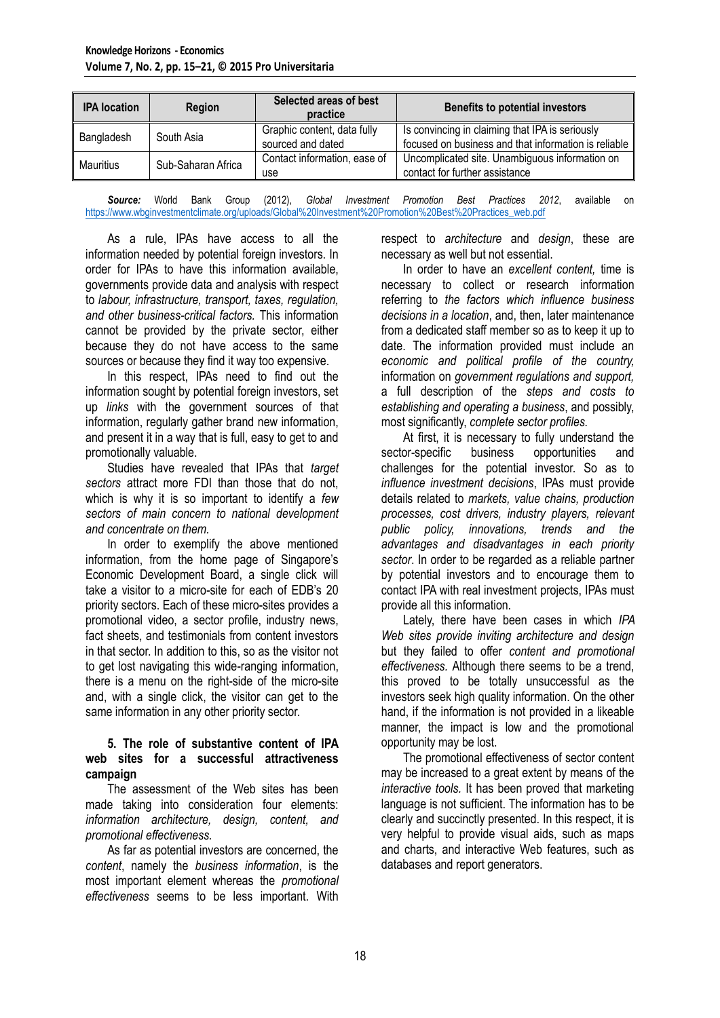| <b>IPA</b> location | <b>Region</b>      | Selected areas of best<br>practice               | <b>Benefits to potential investors</b>                                                                  |  |  |
|---------------------|--------------------|--------------------------------------------------|---------------------------------------------------------------------------------------------------------|--|--|
| Bangladesh          | South Asia         | Graphic content, data fully<br>sourced and dated | Is convincing in claiming that IPA is seriously<br>focused on business and that information is reliable |  |  |
| Mauritius           | Sub-Saharan Africa | Contact information, ease of<br>use              | Uncomplicated site. Unambiguous information on<br>contact for further assistance                        |  |  |

*Source:* World Bank Group (2012), *Global Investment Promotion Best Practices 2012*, available on [https://www.wbginvestmentclimate.org/uploads/Global%20Investment%20Promotion%20Best%20Practices\\_web.pdf](https://www.wbginvestmentclimate.org/uploads/Global%20Investment%20Promotion%20Best%20Practices_web.pdf)

As a rule, IPAs have access to all the information needed by potential foreign investors. In order for IPAs to have this information available, governments provide data and analysis with respect to *labour, infrastructure, transport, taxes, regulation, and other business-critical factors.* This information cannot be provided by the private sector, either because they do not have access to the same sources or because they find it way too expensive.

In this respect, IPAs need to find out the information sought by potential foreign investors, set up *links* with the government sources of that information, regularly gather brand new information, and present it in a way that is full, easy to get to and promotionally valuable.

Studies have revealed that IPAs that *target sectors* attract more FDI than those that do not, which is why it is so important to identify a *few sectors of main concern to national development and concentrate on them.*

In order to exemplify the above mentioned information, from the home page of Singapore's Economic Development Board, a single click will take a visitor to a micro-site for each of EDB's 20 priority sectors. Each of these micro-sites provides a promotional video, a sector profile, industry news, fact sheets, and testimonials from content investors in that sector. In addition to this, so as the visitor not to get lost navigating this wide-ranging information, there is a menu on the right-side of the micro-site and, with a single click, the visitor can get to the same information in any other priority sector.

### **5. The role of substantive content of IPA web sites for a successful attractiveness campaign**

The assessment of the Web sites has been made taking into consideration four elements: *information architecture, design, content, and promotional effectiveness.*

As far as potential investors are concerned, the *content*, namely the *business information*, is the most important element whereas the *promotional effectiveness* seems to be less important. With respect to *architecture* and *design*, these are necessary as well but not essential.

In order to have an *excellent content,* time is necessary to collect or research information referring to *the factors which influence business decisions in a location*, and, then, later maintenance from a dedicated staff member so as to keep it up to date. The information provided must include an *economic and political profile of the country,* information on *government regulations and support,* a full description of the *steps and costs to establishing and operating a business*, and possibly, most significantly, *complete sector profiles.*

At first, it is necessary to fully understand the sector-specific business opportunities and challenges for the potential investor. So as to *influence investment decisions*, IPAs must provide details related to *markets, value chains, production processes, cost drivers, industry players, relevant public policy, innovations, trends and the advantages and disadvantages in each priority sector*. In order to be regarded as a reliable partner by potential investors and to encourage them to contact IPA with real investment projects, IPAs must provide all this information.

Lately, there have been cases in which *IPA Web sites provide inviting architecture and design* but they failed to offer *content and promotional effectiveness.* Although there seems to be a trend, this proved to be totally unsuccessful as the investors seek high quality information. On the other hand, if the information is not provided in a likeable manner, the impact is low and the promotional opportunity may be lost.

The promotional effectiveness of sector content may be increased to a great extent by means of the *interactive tools.* It has been proved that marketing language is not sufficient. The information has to be clearly and succinctly presented. In this respect, it is very helpful to provide visual aids, such as maps and charts, and interactive Web features, such as databases and report generators.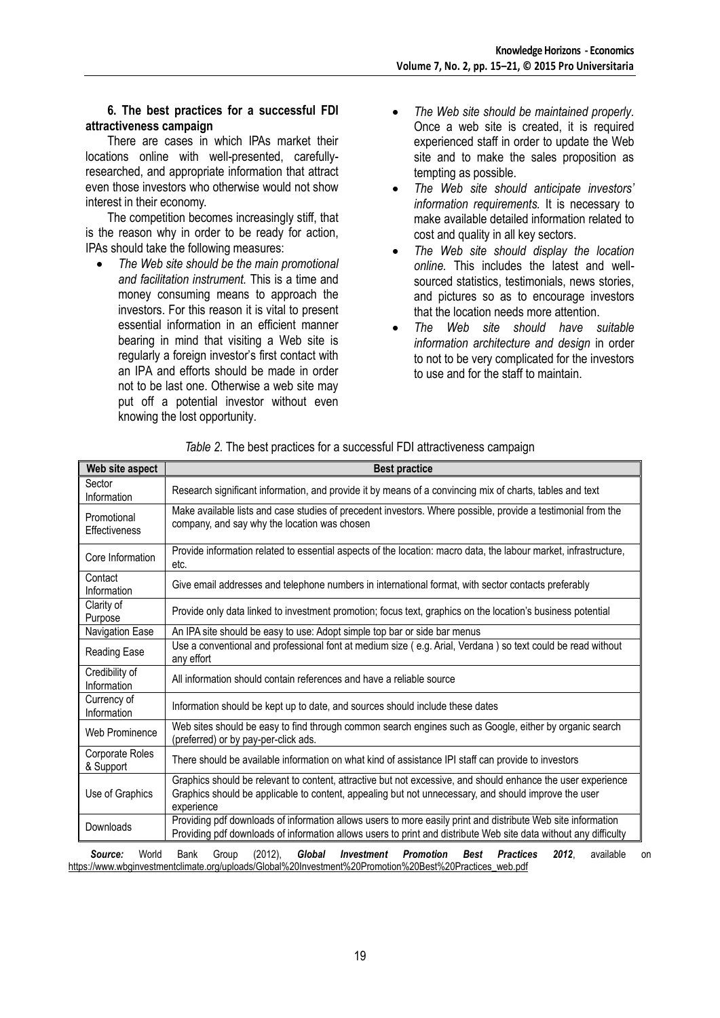## **6. The best practices for a successful FDI attractiveness campaign**

There are cases in which IPAs market their locations online with well-presented, carefullyresearched, and appropriate information that attract even those investors who otherwise would not show interest in their economy.

The competition becomes increasingly stiff, that is the reason why in order to be ready for action, IPAs should take the following measures:

- *The Web site should be the main promotional and facilitation instrument.* This is a time and money consuming means to approach the investors. For this reason it is vital to present essential information in an efficient manner bearing in mind that visiting a Web site is regularly a foreign investor's first contact with an IPA and efforts should be made in order not to be last one. Otherwise a web site may put off a potential investor without even knowing the lost opportunity.
- *The Web site should be maintained properly.* Once a web site is created, it is required experienced staff in order to update the Web site and to make the sales proposition as tempting as possible.
- *The Web site should anticipate investors' information requirements.* It is necessary to make available detailed information related to cost and quality in all key sectors.
- *The Web site should display the location online.* This includes the latest and wellsourced statistics, testimonials, news stories, and pictures so as to encourage investors that the location needs more attention.
- *The Web site should have suitable information architecture and design* in order to not to be very complicated for the investors to use and for the staff to maintain.

| Web site aspect                     | <b>Best practice</b>                                                                                                                                                                                                               |  |  |  |  |  |  |
|-------------------------------------|------------------------------------------------------------------------------------------------------------------------------------------------------------------------------------------------------------------------------------|--|--|--|--|--|--|
| Sector<br>Information               | Research significant information, and provide it by means of a convincing mix of charts, tables and text                                                                                                                           |  |  |  |  |  |  |
| Promotional<br><b>Effectiveness</b> | Make available lists and case studies of precedent investors. Where possible, provide a testimonial from the<br>company, and say why the location was chosen                                                                       |  |  |  |  |  |  |
| Core Information                    | Provide information related to essential aspects of the location: macro data, the labour market, infrastructure,<br>etc.                                                                                                           |  |  |  |  |  |  |
| Contact<br>Information              | Give email addresses and telephone numbers in international format, with sector contacts preferably                                                                                                                                |  |  |  |  |  |  |
| Clarity of<br>Purpose               | Provide only data linked to investment promotion; focus text, graphics on the location's business potential                                                                                                                        |  |  |  |  |  |  |
| Navigation Ease                     | An IPA site should be easy to use: Adopt simple top bar or side bar menus                                                                                                                                                          |  |  |  |  |  |  |
| Reading Ease                        | Use a conventional and professional font at medium size (e.g. Arial, Verdana) so text could be read without<br>any effort                                                                                                          |  |  |  |  |  |  |
| Credibility of<br>Information       | All information should contain references and have a reliable source                                                                                                                                                               |  |  |  |  |  |  |
| Currency of<br>Information          | Information should be kept up to date, and sources should include these dates                                                                                                                                                      |  |  |  |  |  |  |
| Web Prominence                      | Web sites should be easy to find through common search engines such as Google, either by organic search<br>(preferred) or by pay-per-click ads.                                                                                    |  |  |  |  |  |  |
| Corporate Roles<br>& Support        | There should be available information on what kind of assistance IPI staff can provide to investors                                                                                                                                |  |  |  |  |  |  |
| Use of Graphics                     | Graphics should be relevant to content, attractive but not excessive, and should enhance the user experience<br>Graphics should be applicable to content, appealing but not unnecessary, and should improve the user<br>experience |  |  |  |  |  |  |
| Downloads                           | Providing pdf downloads of information allows users to more easily print and distribute Web site information<br>Providing pdf downloads of information allows users to print and distribute Web site data without any difficulty   |  |  |  |  |  |  |

|  |  |  | Table 2. The best practices for a successful FDI attractiveness campaign |  |
|--|--|--|--------------------------------------------------------------------------|--|
|  |  |  |                                                                          |  |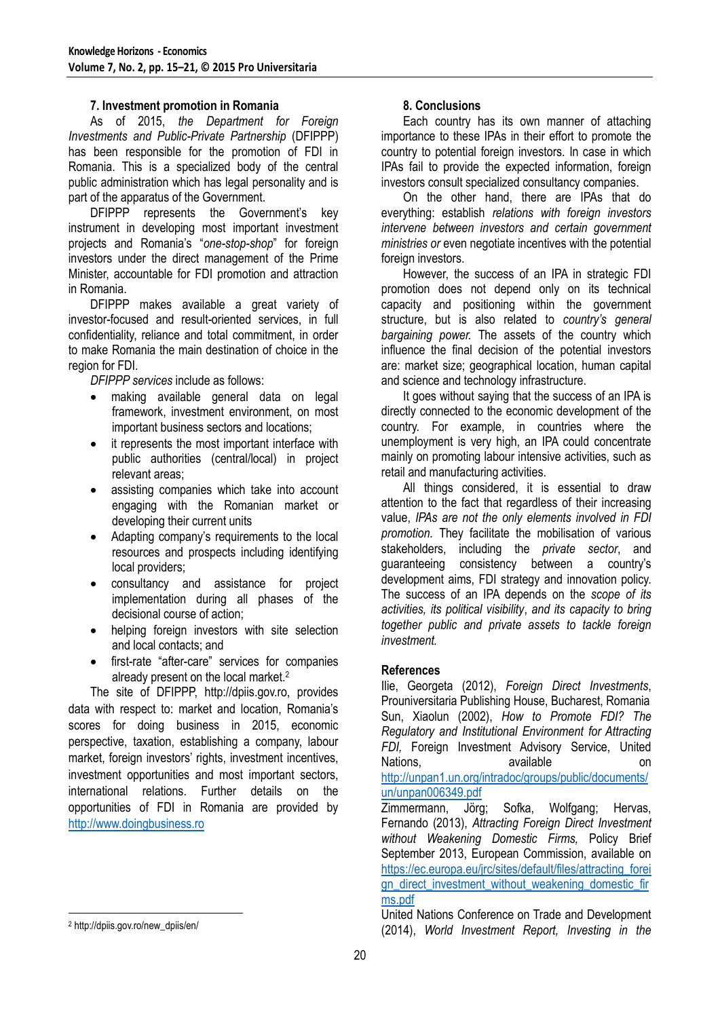## **7. Investment promotion in Romania**

As of 2015, *the Department for Foreign Investments and Public-Private Partnership* (DFIPPP) has been responsible for the promotion of FDI in Romania. This is a specialized body of the central public administration which has legal personality and is part of the apparatus of the Government.

DFIPPP represents the Government's key instrument in developing most important investment projects and Romania's "*one-stop-shop*" for foreign investors under the direct management of the Prime Minister, accountable for FDI promotion and attraction in Romania.

DFIPPP makes available a great variety of investor-focused and result-oriented services, in full confidentiality, reliance and total commitment, in order to make Romania the main destination of choice in the region for FDI.

*DFIPPP services* include as follows:

- making available general data on legal framework, investment environment, on most important business sectors and locations;
- it represents the most important interface with public authorities (central/local) in project relevant areas;
- assisting companies which take into account engaging with the Romanian market or developing their current units
- Adapting company's requirements to the local resources and prospects including identifying local providers;
- consultancy and assistance for project implementation during all phases of the decisional course of action;
- helping foreign investors with site selection and local contacts; and
- first-rate "after-care" services for companies already present on the local market.<sup>2</sup>

The site of DFIPPP, http://dpiis.gov.ro, provides data with respect to: market and location, Romania's scores for doing business in 2015, economic perspective, taxation, establishing a company, labour market, foreign investors' rights, investment incentives, investment opportunities and most important sectors, international relations. Further details on the opportunities of FDI in Romania are provided by [http://www.doingbusiness.ro](http://www.doingbusiness.ro/)

## **8. Conclusions**

Each country has its own manner of attaching importance to these IPAs in their effort to promote the country to potential foreign investors. In case in which IPAs fail to provide the expected information, foreign investors consult specialized consultancy companies.

On the other hand, there are IPAs that do everything: establish *relations with foreign investors intervene between investors and certain government ministries or* even negotiate incentives with the potential foreign investors.

However, the success of an IPA in strategic FDI promotion does not depend only on its technical capacity and positioning within the government structure, but is also related to *country's general bargaining power.* The assets of the country which influence the final decision of the potential investors are: market size; geographical location, human capital and science and technology infrastructure.

It goes without saying that the success of an IPA is directly connected to the economic development of the country. For example, in countries where the unemployment is very high, an IPA could concentrate mainly on promoting labour intensive activities, such as retail and manufacturing activities.

All things considered, it is essential to draw attention to the fact that regardless of their increasing value, *IPAs are not the only elements involved in FDI promotion.* They facilitate the mobilisation of various stakeholders, including the *private sector*, and guaranteeing consistency between a country's development aims, FDI strategy and innovation policy. The success of an IPA depends on the *scope of its activities, its political visibility*, *and its capacity to bring together public and private assets to tackle foreign investment.*

#### **References**

Ilie, Georgeta (2012), *Foreign Direct Investments*, Prouniversitaria Publishing House, Bucharest, Romania Sun, Xiaolun (2002), *How to Promote FDI? The Regulatory and Institutional Environment for Attracting FDI,* Foreign Investment Advisory Service, United Nations, available on [http://unpan1.un.org/intradoc/groups/public/documents/](http://unpan1.un.org/intradoc/groups/public/documents/un/unpan006349.pdf) [un/unpan006349.pdf](http://unpan1.un.org/intradoc/groups/public/documents/un/unpan006349.pdf) Zimmermann, Jörg; Sofka, Wolfgang; Hervas,

Fernando (2013), *Attracting Foreign Direct Investment without Weakening Domestic Firms,* Policy Brief September 2013, European Commission, available on [https://ec.europa.eu/jrc/sites/default/files/attracting\\_forei](https://ec.europa.eu/jrc/sites/default/files/attracting_foreign_direct_investment_without_weakening_domestic_firms.pdf) [gn\\_direct\\_investment\\_without\\_weakening\\_domestic\\_fir](https://ec.europa.eu/jrc/sites/default/files/attracting_foreign_direct_investment_without_weakening_domestic_firms.pdf) [ms.pdf](https://ec.europa.eu/jrc/sites/default/files/attracting_foreign_direct_investment_without_weakening_domestic_firms.pdf)

United Nations Conference on Trade and Development (2014), *World Investment Report, Investing in the* 

**<sup>.</sup>** <sup>2</sup> http://dpiis.gov.ro/new\_dpiis/en/